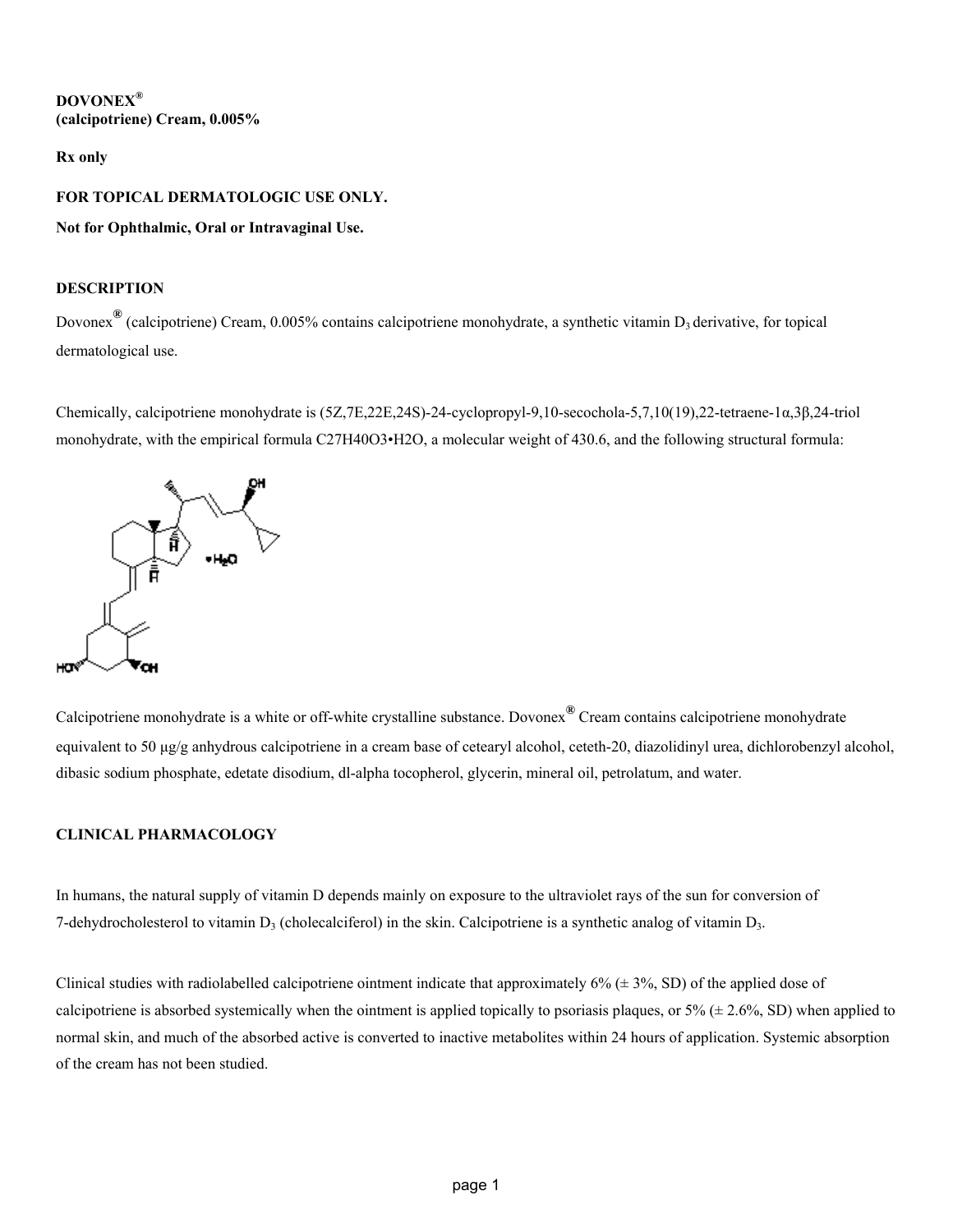## **DOVONEX® (calcipotriene) Cream, 0.005%**

## **Rx only**

## **FOR TOPICAL DERMATOLOGIC USE ONLY.**

## **Not for Ophthalmic, Oral or Intravaginal Use.**

## **DESCRIPTION**

Dovonex<sup>®</sup> (calcipotriene) Cream, 0.005% contains calcipotriene monohydrate, a synthetic vitamin D<sub>3</sub> derivative, for topical dermatological use.

Chemically, calcipotriene monohydrate is (5Z,7E,22E,24S)-24-cyclopropyl-9,10-secochola-5,7,10(19),22-tetraene-1α,3β,24-triol monohydrate, with the empirical formula C27H40O3•H2O, a molecular weight of 430.6, and the following structural formula:



Calcipotriene monohydrate is a white or off-white crystalline substance. Dovonex**®** Cream contains calcipotriene monohydrate equivalent to 50 μg/g anhydrous calcipotriene in a cream base of cetearyl alcohol, ceteth-20, diazolidinyl urea, dichlorobenzyl alcohol, dibasic sodium phosphate, edetate disodium, dl-alpha tocopherol, glycerin, mineral oil, petrolatum, and water.

## **CLINICAL PHARMACOLOGY**

In humans, the natural supply of vitamin D depends mainly on exposure to the ultraviolet rays of the sun for conversion of 7-dehydrocholesterol to vitamin  $D_3$  (cholecalciferol) in the skin. Calcipotriene is a synthetic analog of vitamin  $D_3$ .

Clinical studies with radiolabelled calcipotriene ointment indicate that approximately  $6\%$  ( $\pm$  3%, SD) of the applied dose of calcipotriene is absorbed systemically when the ointment is applied topically to psoriasis plaques, or  $5\%$  ( $\pm$  2.6%, SD) when applied to normal skin, and much of the absorbed active is converted to inactive metabolites within 24 hours of application. Systemic absorption of the cream has not been studied.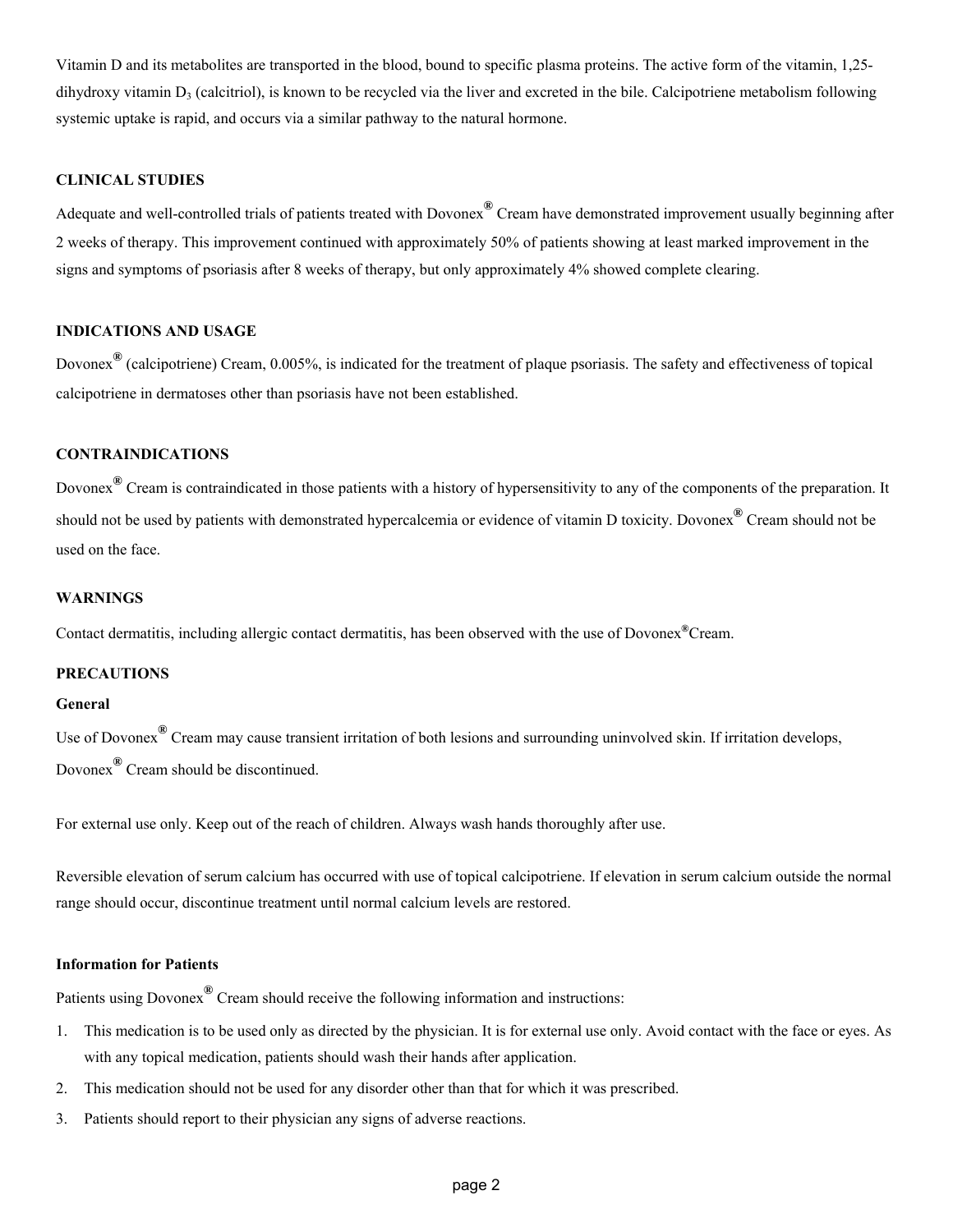Vitamin D and its metabolites are transported in the blood, bound to specific plasma proteins. The active form of the vitamin, 1,25 dihydroxy vitamin  $D_3$  (calcitriol), is known to be recycled via the liver and excreted in the bile. Calcipotriene metabolism following systemic uptake is rapid, and occurs via a similar pathway to the natural hormone.

## **CLINICAL STUDIES**

Adequate and well-controlled trials of patients treated with Dovonex**®** Cream have demonstrated improvement usually beginning after 2 weeks of therapy. This improvement continued with approximately 50% of patients showing at least marked improvement in the signs and symptoms of psoriasis after 8 weeks of therapy, but only approximately 4% showed complete clearing.

## **INDICATIONS AND USAGE**

Dovonex**®** (calcipotriene) Cream, 0.005%, is indicated for the treatment of plaque psoriasis. The safety and effectiveness of topical calcipotriene in dermatoses other than psoriasis have not been established.

# **CONTRAINDICATIONS**

Dovonex**®** Cream is contraindicated in those patients with a history of hypersensitivity to any of the components of the preparation. It should not be used by patients with demonstrated hypercalcemia or evidence of vitamin D toxicity. Dovonex**®** Cream should not be used on the face.

#### **WARNINGS**

Contact dermatitis, including allergic contact dermatitis, has been observed with the use of Dovonex**®**Cream.

#### **PRECAUTIONS**

#### **General**

Use of Dovonex**®** Cream may cause transient irritation of both lesions and surrounding uninvolved skin. If irritation develops, Dovonex**®** Cream should be discontinued.

For external use only. Keep out of the reach of children. Always wash hands thoroughly after use.

Reversible elevation of serum calcium has occurred with use of topical calcipotriene. If elevation in serum calcium outside the normal range should occur, discontinue treatment until normal calcium levels are restored.

#### **Information for Patients**

Patients using Dovonex**®** Cream should receive the following information and instructions:

- 1. This medication is to be used only as directed by the physician. It is for external use only. Avoid contact with the face or eyes. As with any topical medication, patients should wash their hands after application.
- 2. This medication should not be used for any disorder other than that for which it was prescribed.
- 3. Patients should report to their physician any signs of adverse reactions.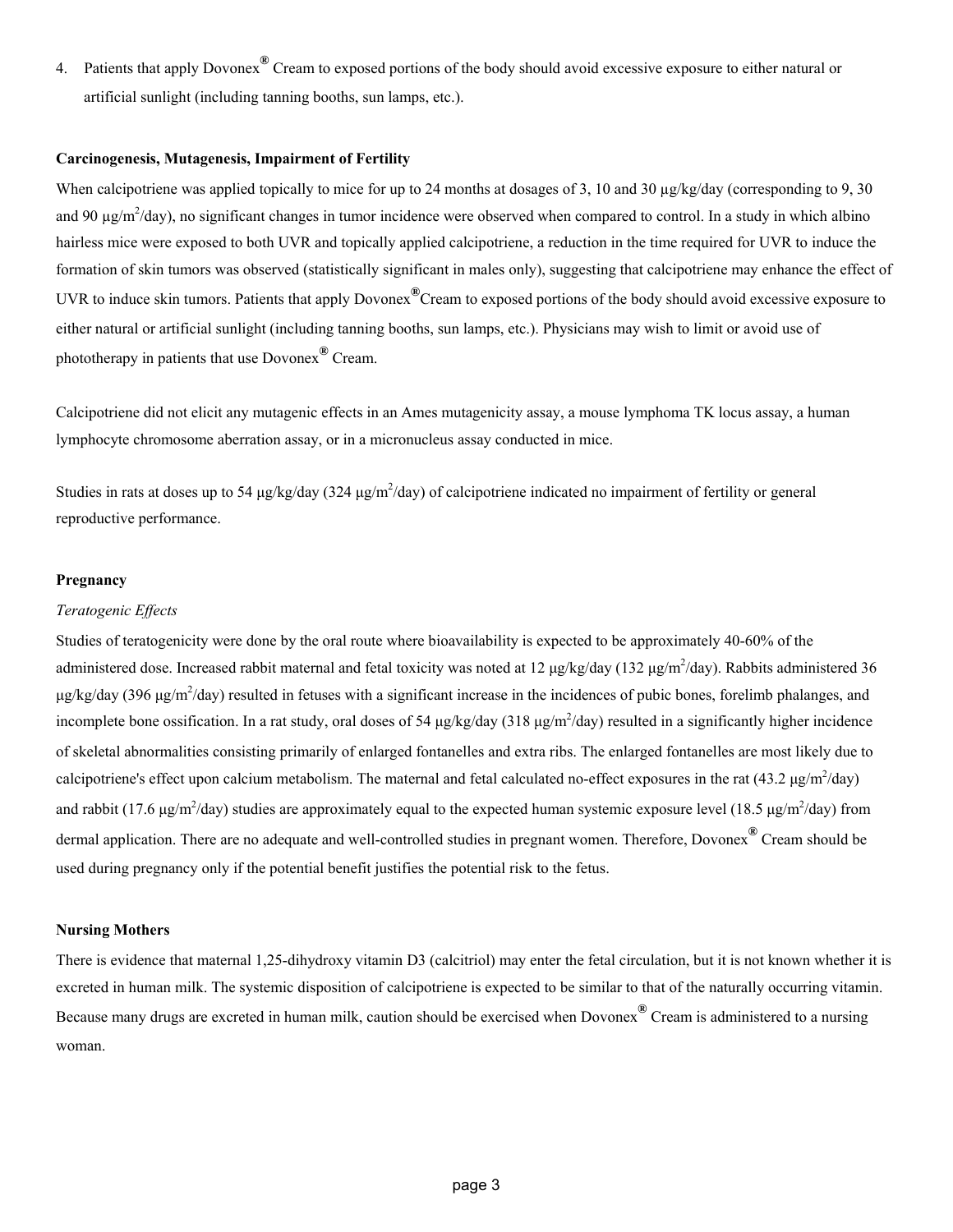4. Patients that apply Dovonex**®** Cream to exposed portions of the body should avoid excessive exposure to either natural or artificial sunlight (including tanning booths, sun lamps, etc.).

#### **Carcinogenesis, Mutagenesis, Impairment of Fertility**

When calcipotriene was applied topically to mice for up to 24 months at dosages of 3, 10 and 30 µg/kg/day (corresponding to 9, 30) and 90  $\mu$ g/m<sup>2</sup>/day), no significant changes in tumor incidence were observed when compared to control. In a study in which albino hairless mice were exposed to both UVR and topically applied calcipotriene, a reduction in the time required for UVR to induce the formation of skin tumors was observed (statistically significant in males only), suggesting that calcipotriene may enhance the effect of UVR to induce skin tumors. Patients that apply Dovonex**®**Cream to exposed portions of the body should avoid excessive exposure to either natural or artificial sunlight (including tanning booths, sun lamps, etc.). Physicians may wish to limit or avoid use of phototherapy in patients that use Dovonex**®** Cream.

Calcipotriene did not elicit any mutagenic effects in an Ames mutagenicity assay, a mouse lymphoma TK locus assay, a human lymphocyte chromosome aberration assay, or in a micronucleus assay conducted in mice.

Studies in rats at doses up to 54  $\mu$ g/kg/day (324  $\mu$ g/m<sup>2</sup>/day) of calcipotriene indicated no impairment of fertility or general reproductive performance.

### **Pregnancy**

#### *Teratogenic Effects*

Studies of teratogenicity were done by the oral route where bioavailability is expected to be approximately 40-60% of the administered dose. Increased rabbit maternal and fetal toxicity was noted at 12  $\mu$ g/kg/day (132  $\mu$ g/m<sup>2</sup>/day). Rabbits administered 36 μg/kg/day (396 μg/m<sup>2</sup>/day) resulted in fetuses with a significant increase in the incidences of pubic bones, forelimb phalanges, and incomplete bone ossification. In a rat study, oral doses of 54  $\mu$ g/kg/day (318  $\mu$ g/m<sup>2</sup>/day) resulted in a significantly higher incidence of skeletal abnormalities consisting primarily of enlarged fontanelles and extra ribs. The enlarged fontanelles are most likely due to calcipotriene's effect upon calcium metabolism. The maternal and fetal calculated no-effect exposures in the rat  $(43.2 \text{ µg/m}^2/\text{day})$ and rabbit (17.6  $\mu$ g/m<sup>2</sup>/day) studies are approximately equal to the expected human systemic exposure level (18.5  $\mu$ g/m<sup>2</sup>/day) from dermal application. There are no adequate and well-controlled studies in pregnant women. Therefore, Dovonex<sup>®</sup> Cream should be used during pregnancy only if the potential benefit justifies the potential risk to the fetus.

#### **Nursing Mothers**

There is evidence that maternal 1,25-dihydroxy vitamin D3 (calcitriol) may enter the fetal circulation, but it is not known whether it is excreted in human milk. The systemic disposition of calcipotriene is expected to be similar to that of the naturally occurring vitamin. Because many drugs are excreted in human milk, caution should be exercised when Dovonex**®** Cream is administered to a nursing woman.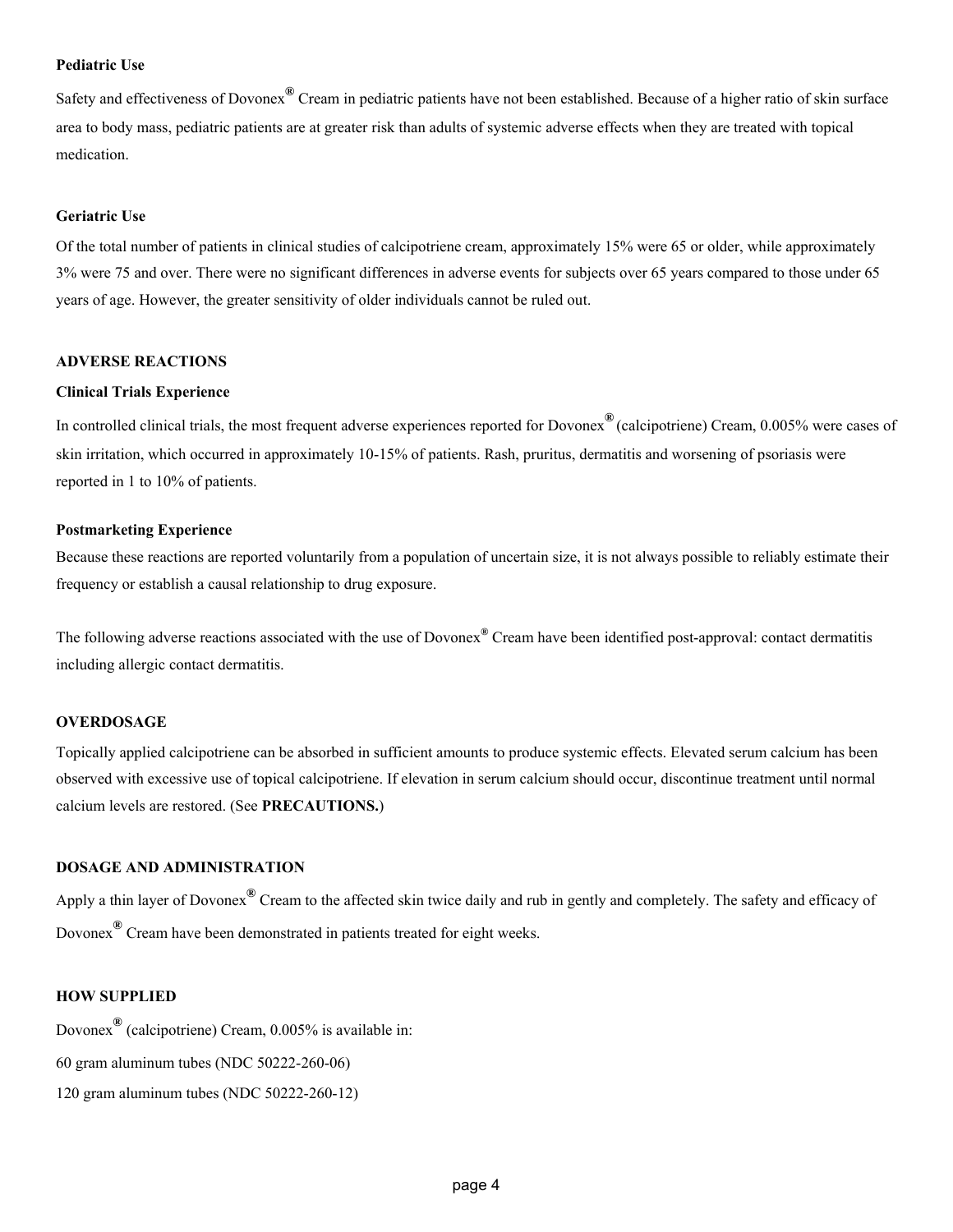### **Pediatric Use**

Safety and effectiveness of Dovonex**®** Cream in pediatric patients have not been established. Because of a higher ratio of skin surface area to body mass, pediatric patients are at greater risk than adults of systemic adverse effects when they are treated with topical medication.

#### **Geriatric Use**

Of the total number of patients in clinical studies of calcipotriene cream, approximately 15% were 65 or older, while approximately 3% were 75 and over. There were no significant differences in adverse events for subjects over 65 years compared to those under 65 years of age. However, the greater sensitivity of older individuals cannot be ruled out.

#### **ADVERSE REACTIONS**

#### **Clinical Trials Experience**

In controlled clinical trials, the most frequent adverse experiences reported for Dovonex**®** (calcipotriene) Cream, 0.005% were cases of skin irritation, which occurred in approximately 10-15% of patients. Rash, pruritus, dermatitis and worsening of psoriasis were reported in 1 to 10% of patients.

### **Postmarketing Experience**

Because these reactions are reported voluntarily from a population of uncertain size, it is not always possible to reliably estimate their frequency or establish a causal relationship to drug exposure.

The following adverse reactions associated with the use of Dovonex**®** Cream have been identified post-approval: contact dermatitis including allergic contact dermatitis.

#### **OVERDOSAGE**

Topically applied calcipotriene can be absorbed in sufficient amounts to produce systemic effects. Elevated serum calcium has been observed with excessive use of topical calcipotriene. If elevation in serum calcium should occur, discontinue treatment until normal calcium levels are restored. (See **PRECAUTIONS.**)

### **DOSAGE AND ADMINISTRATION**

Apply a thin layer of Dovonex**®** Cream to the affected skin twice daily and rub in gently and completely. The safety and efficacy of Dovonex**®** Cream have been demonstrated in patients treated for eight weeks.

## **HOW SUPPLIED**

Dovonex**®** (calcipotriene) Cream, 0.005% is available in:

- 60 gram aluminum tubes (NDC 50222-260-06)
- 120 gram aluminum tubes (NDC 50222-260-12)